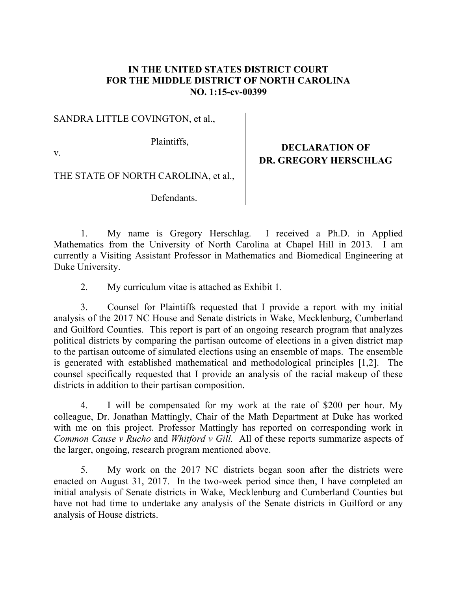## **IN THE UNITED STATES DISTRICT COURT FOR THE MIDDLE DISTRICT OF NORTH CAROLINA NO. 1:15-cv-00399**

SANDRA LITTLE COVINGTON, et al.,

Plaintiffs,

v.

**DECLARATION OF DR. GREGORY HERSCHLAG**

THE STATE OF NORTH CAROLINA, et al.,

Defendants.

1. My name is Gregory Herschlag. I received a Ph.D. in Applied Mathematics from the University of North Carolina at Chapel Hill in 2013. I am currently a Visiting Assistant Professor in Mathematics and Biomedical Engineering at Duke University.

2. My curriculum vitae is attached as Exhibit 1.

3. Counsel for Plaintiffs requested that I provide a report with my initial analysis of the 2017 NC House and Senate districts in Wake, Mecklenburg, Cumberland and Guilford Counties. This report is part of an ongoing research program that analyzes political districts by comparing the partisan outcome of elections in a given district map to the partisan outcome of simulated elections using an ensemble of maps. The ensemble is generated with established mathematical and methodological principles [1,2]. The counsel specifically requested that I provide an analysis of the racial makeup of these districts in addition to their partisan composition.

4. I will be compensated for my work at the rate of \$200 per hour. My colleague, Dr. Jonathan Mattingly, Chair of the Math Department at Duke has worked with me on this project. Professor Mattingly has reported on corresponding work in *Common Cause v Rucho* and *Whitford v Gill.* All of these reports summarize aspects of the larger, ongoing, research program mentioned above.

5. My work on the 2017 NC districts began soon after the districts were enacted on August 31, 2017. In the two-week period since then, I have completed an initial analysis of Senate districts in Wake, Mecklenburg and Cumberland Counties but have not had time to undertake any analysis of the Senate districts in Guilford or any analysis of House districts.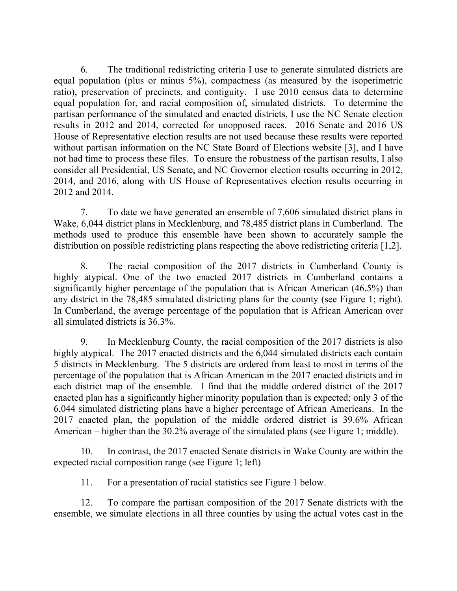6. The traditional redistricting criteria I use to generate simulated districts are equal population (plus or minus 5%), compactness (as measured by the isoperimetric ratio), preservation of precincts, and contiguity. I use 2010 census data to determine equal population for, and racial composition of, simulated districts. To determine the partisan performance of the simulated and enacted districts, I use the NC Senate election results in 2012 and 2014, corrected for unopposed races. 2016 Senate and 2016 US House of Representative election results are not used because these results were reported without partisan information on the NC State Board of Elections website [3], and I have not had time to process these files. To ensure the robustness of the partisan results, I also consider all Presidential, US Senate, and NC Governor election results occurring in 2012, 2014, and 2016, along with US House of Representatives election results occurring in 2012 and 2014.

7. To date we have generated an ensemble of 7,606 simulated district plans in Wake, 6,044 district plans in Mecklenburg, and 78,485 district plans in Cumberland. The methods used to produce this ensemble have been shown to accurately sample the distribution on possible redistricting plans respecting the above redistricting criteria [1,2].

8. The racial composition of the 2017 districts in Cumberland County is highly atypical. One of the two enacted 2017 districts in Cumberland contains a significantly higher percentage of the population that is African American (46.5%) than any district in the 78,485 simulated districting plans for the county (see Figure 1; right). In Cumberland, the average percentage of the population that is African American over all simulated districts is 36.3%.

9. In Mecklenburg County, the racial composition of the 2017 districts is also highly atypical. The 2017 enacted districts and the 6,044 simulated districts each contain 5 districts in Mecklenburg. The 5 districts are ordered from least to most in terms of the percentage of the population that is African American in the 2017 enacted districts and in each district map of the ensemble. I find that the middle ordered district of the 2017 enacted plan has a significantly higher minority population than is expected; only 3 of the 6,044 simulated districting plans have a higher percentage of African Americans. In the 2017 enacted plan, the population of the middle ordered district is 39.6% African American – higher than the 30.2% average of the simulated plans (see Figure 1; middle).

10. In contrast, the 2017 enacted Senate districts in Wake County are within the expected racial composition range (see Figure 1; left)

11. For a presentation of racial statistics see Figure 1 below.

12. To compare the partisan composition of the 2017 Senate districts with the ensemble, we simulate elections in all three counties by using the actual votes cast in the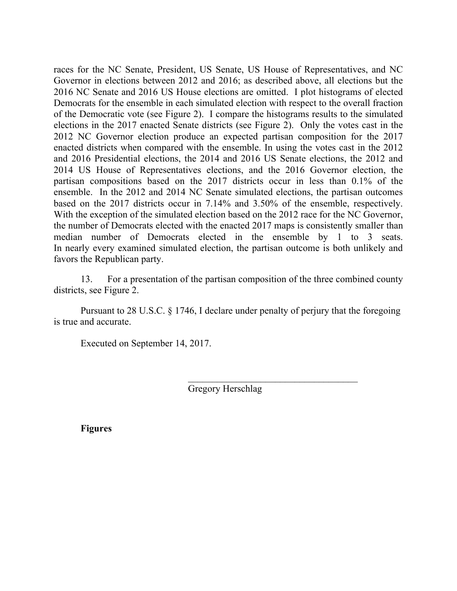races for the NC Senate, President, US Senate, US House of Representatives, and NC Governor in elections between 2012 and 2016; as described above, all elections but the 2016 NC Senate and 2016 US House elections are omitted. I plot histograms of elected Democrats for the ensemble in each simulated election with respect to the overall fraction of the Democratic vote (see Figure 2). I compare the histograms results to the simulated elections in the 2017 enacted Senate districts (see Figure 2). Only the votes cast in the 2012 NC Governor election produce an expected partisan composition for the 2017 enacted districts when compared with the ensemble. In using the votes cast in the 2012 and 2016 Presidential elections, the 2014 and 2016 US Senate elections, the 2012 and 2014 US House of Representatives elections, and the 2016 Governor election, the partisan compositions based on the 2017 districts occur in less than 0.1% of the ensemble. In the 2012 and 2014 NC Senate simulated elections, the partisan outcomes based on the 2017 districts occur in 7.14% and 3.50% of the ensemble, respectively. With the exception of the simulated election based on the 2012 race for the NC Governor, the number of Democrats elected with the enacted 2017 maps is consistently smaller than median number of Democrats elected in the ensemble by 1 to 3 seats. In nearly every examined simulated election, the partisan outcome is both unlikely and favors the Republican party.

13. For a presentation of the partisan composition of the three combined county districts, see Figure 2.

Pursuant to 28 U.S.C. § 1746, I declare under penalty of perjury that the foregoing is true and accurate.

Executed on September 14, 2017.

Gregory Herschlag

**Figures**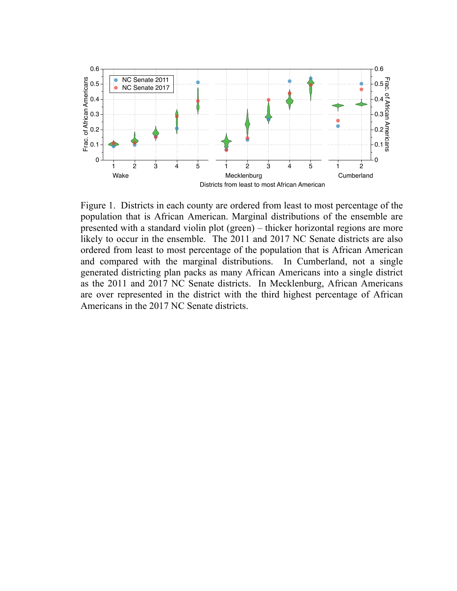

Figure 1. Districts in each county are ordered from least to most percentage of the population that is African American. Marginal distributions of the ensemble are presented with a standard violin plot (green) – thicker horizontal regions are more likely to occur in the ensemble. The 2011 and 2017 NC Senate districts are also ordered from least to most percentage of the population that is African American and compared with the marginal distributions. In Cumberland, not a single generated districting plan packs as many African Americans into a single district as the 2011 and 2017 NC Senate districts. In Mecklenburg, African Americans are over represented in the district with the third highest percentage of African Americans in the 2017 NC Senate districts.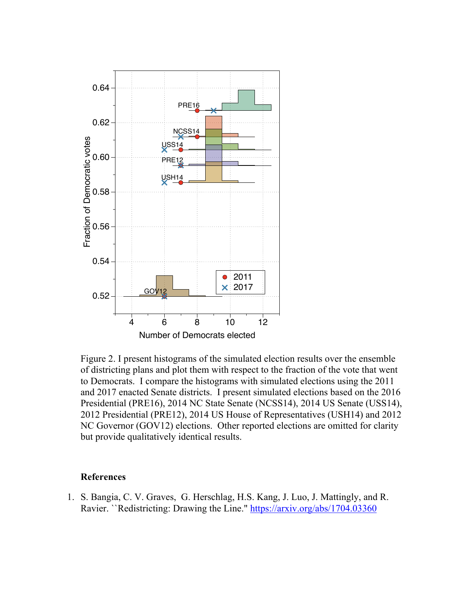

Figure 2. I present histograms of the simulated election results over the ensemble of districting plans and plot them with respect to the fraction of the vote that went to Democrats. I compare the histograms with simulated elections using the 2011 and 2017 enacted Senate districts. I present simulated elections based on the 2016 Presidential (PRE16), 2014 NC State Senate (NCSS14), 2014 US Senate (USS14), 2012 Presidential (PRE12), 2014 US House of Representatives (USH14) and 2012 NC Governor (GOV12) elections. Other reported elections are omitted for clarity but provide qualitatively identical results.

## **References**

1. S. Bangia, C. V. Graves, G. Herschlag, H.S. Kang, J. Luo, J. Mattingly, and R. Ravier. ``Redistricting: Drawing the Line." https://arxiv.org/abs/1704.03360